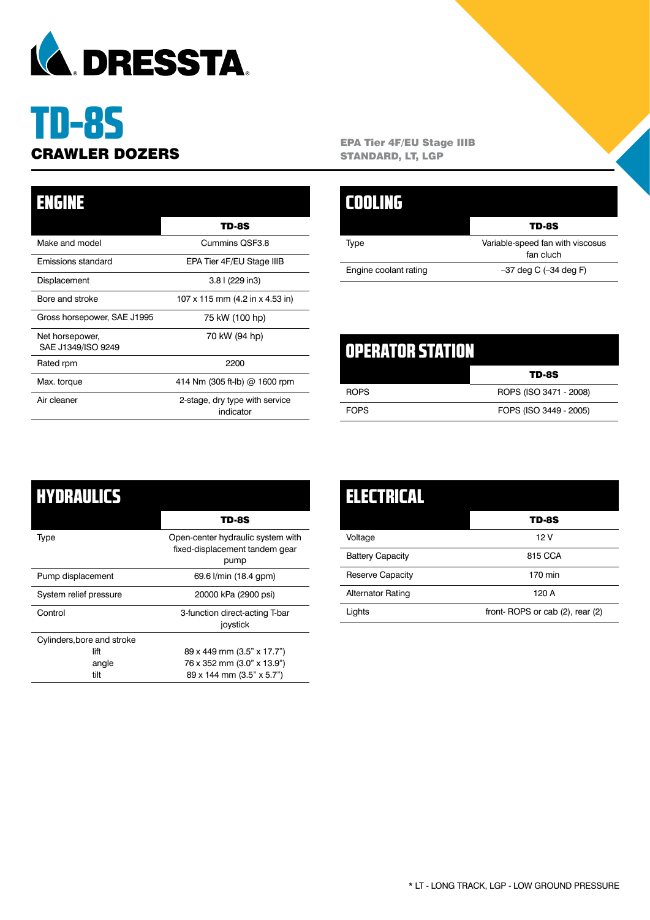

# TD-8S

| ENGINE                                |                                             |
|---------------------------------------|---------------------------------------------|
|                                       | TD-8S                                       |
| Make and model                        | Cummins QSF3.8                              |
| Emissions standard                    | EPA Tier 4F/EU Stage IIIB                   |
| Displacement                          | 3.8 l (229 in3)                             |
| Bore and stroke                       | 107 x 115 mm (4.2 in x 4.53 in)             |
| Gross horsepower, SAE J1995           | 75 kW (100 hp)                              |
| Net horsepower,<br>SAE J1349/ISO 9249 | 70 kW (94 hp)                               |
| Rated rpm                             | 2200                                        |
| Max. torque                           | 414 Nm (305 ft-lb) $@$ 1600 rpm             |
| Air cleaner                           | 2-stage, dry type with service<br>indicator |

**CRAWLER DOZERS** EPA Tier 4F/EU Stage IIIB<br>
STANDARD, LT, LGP STANDARD, LT, LGP

|                       | <b>TD-8S</b>                                  |
|-----------------------|-----------------------------------------------|
| Type                  | Variable-speed fan with viscosus<br>fan cluch |
| Engine coolant rating | $-37$ deg C $(-34$ deg F)                     |

| \U}##}{\\\\} <del>\\\</del> |                        |
|-----------------------------|------------------------|
|                             | TD-8S                  |
| <b>ROPS</b>                 | ROPS (ISO 3471 - 2008) |
| <b>FOPS</b>                 | FOPS (ISO 3449 - 2005) |

| HYDRAULICS                 |                                                                             |
|----------------------------|-----------------------------------------------------------------------------|
|                            | TD-8S                                                                       |
| Type                       | Open-center hydraulic system with<br>fixed-displacement tandem gear<br>pump |
| Pump displacement          | 69.6 l/min (18.4 gpm)                                                       |
| System relief pressure     | 20000 kPa (2900 psi)                                                        |
| Control                    | 3-function direct-acting T-bar<br>joystick                                  |
| Cylinders, bore and stroke |                                                                             |
| lift                       | 89 x 449 mm (3.5" x 17.7")                                                  |
| angle                      | 76 x 352 mm (3.0" x 13.9")                                                  |
| tilt                       | 89 x 144 mm (3.5" x 5.7")                                                   |

| <b>ELECTRICAL</b>        |                                 |
|--------------------------|---------------------------------|
|                          | <b>TD-8S</b>                    |
| Voltage                  | 12 V                            |
| <b>Battery Capacity</b>  | 815 CCA                         |
| <b>Reserve Capacity</b>  | 170 min                         |
| <b>Alternator Rating</b> | 120 A                           |
| Lights                   | front-ROPS or cab (2), rear (2) |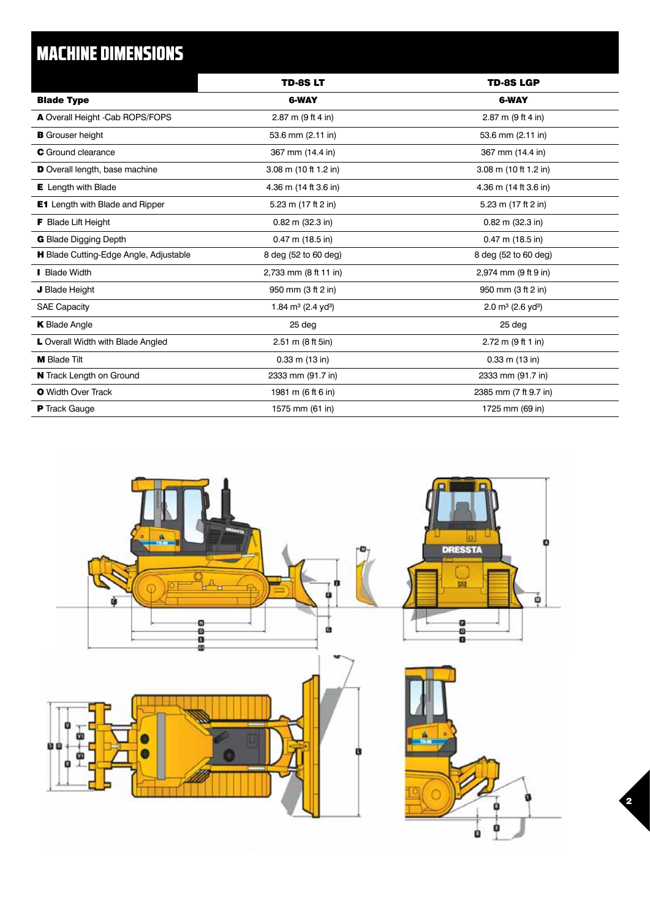# MACHINE DIMENSIONS

|                                        | TD-8S LT                          | <b>TD-8S LGP</b>                 |
|----------------------------------------|-----------------------------------|----------------------------------|
| <b>Blade Type</b>                      | <b>6-WAY</b>                      | 6-WAY                            |
| A Overall Height -Cab ROPS/FOPS        | 2.87 m (9 ft 4 in)                | 2.87 m (9 ft 4 in)               |
| <b>B</b> Grouser height                | 53.6 mm (2.11 in)                 | 53.6 mm (2.11 in)                |
| <b>C</b> Ground clearance              | 367 mm (14.4 in)                  | 367 mm (14.4 in)                 |
| D Overall length, base machine         | 3.08 m (10 ft 1.2 in)             | 3.08 m (10 ft 1.2 in)            |
| <b>E</b> Length with Blade             | 4.36 m (14 ft 3.6 in)             | 4.36 m (14 ft 3.6 in)            |
| <b>E1</b> Length with Blade and Ripper | 5.23 m (17 ft 2 in)               | 5.23 m (17 ft 2 in)              |
| <b>F</b> Blade Lift Height             | $0.82$ m $(32.3)$ in              | $0.82$ m $(32.3)$ in             |
| <b>G</b> Blade Digging Depth           | $0.47$ m (18.5 in)                | $0.47$ m (18.5 in)               |
| H Blade Cutting-Edge Angle, Adjustable | 8 deg (52 to 60 deg)              | 8 deg (52 to 60 deg)             |
| <b>Blade Width</b>                     | 2,733 mm (8 ft 11 in)             | 2,974 mm (9 ft 9 in)             |
| J Blade Height                         | 950 mm (3 ft 2 in)                | 950 mm (3 ft 2 in)               |
| <b>SAE Capacity</b>                    | 1.84 $m^3$ (2.4 yd <sup>3</sup> ) | 2.0 $m^3$ (2.6 yd <sup>3</sup> ) |
| <b>K</b> Blade Angle                   | 25 deg                            | 25 deg                           |
| L Overall Width with Blade Angled      | 2.51 m (8 ft 5in)                 | 2.72 m (9 ft 1 in)               |
| <b>M</b> Blade Tilt                    | $0.33$ m $(13$ in)                | $0.33$ m $(13$ in)               |
| N Track Length on Ground               | 2333 mm (91.7 in)                 | 2333 mm (91.7 in)                |
| <b>O</b> Width Over Track              | 1981 m (6 ft 6 in)                | 2385 mm (7 ft 9.7 in)            |
| <b>P</b> Track Gauge                   | 1575 mm (61 in)                   | 1725 mm (69 in)                  |
|                                        |                                   |                                  |



2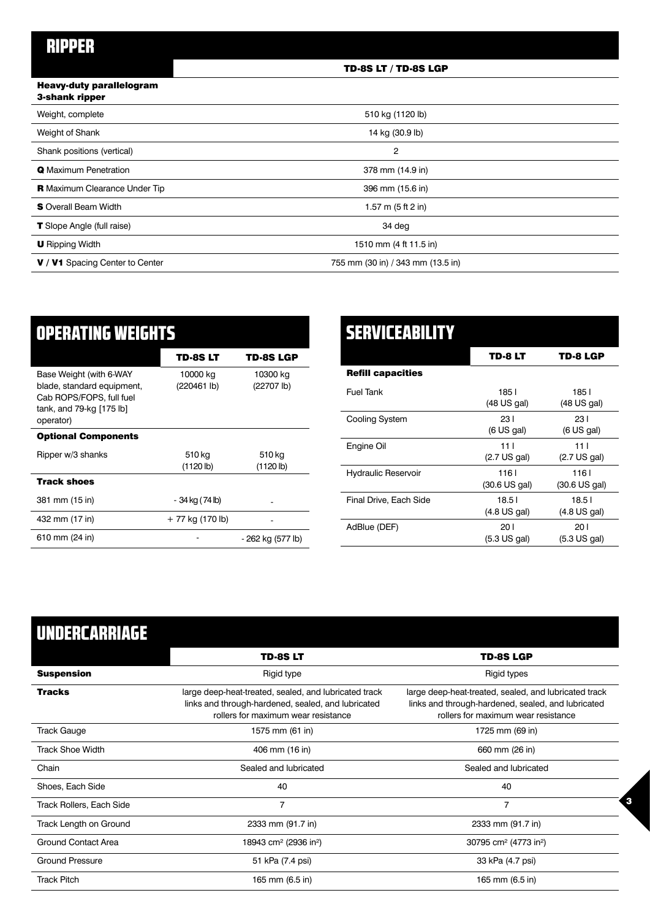# RIPPER

# TD-8S LT / TD-8S LGP

#### Heavy-duty parallelogram 3-shank ripper

| <b>Profitation</b> in profit                  |                                   |  |
|-----------------------------------------------|-----------------------------------|--|
| Weight, complete                              | 510 kg (1120 lb)                  |  |
| Weight of Shank                               | 14 kg (30.9 lb)                   |  |
| Shank positions (vertical)                    | 2                                 |  |
| <b>Q</b> Maximum Penetration                  | 378 mm (14.9 in)                  |  |
| <b>R</b> Maximum Clearance Under Tip          | 396 mm (15.6 in)                  |  |
| <b>S</b> Overall Beam Width                   | 1.57 m (5 ft 2 in)                |  |
| <b>T</b> Slope Angle (full raise)             | 34 deg                            |  |
| <b>U</b> Ripping Width                        | 1510 mm (4 ft 11.5 in)            |  |
| <b>V</b> / <b>V1</b> Spacing Center to Center | 755 mm (30 in) / 343 mm (13.5 in) |  |
|                                               |                                   |  |

| <b>OPERATING WEIGHTS</b>                                                                                                   |                         |                        |
|----------------------------------------------------------------------------------------------------------------------------|-------------------------|------------------------|
|                                                                                                                            | TD-8S LT                | TD-8S LGP              |
| Base Weight (with 6-WAY<br>blade, standard equipment,<br>Cab ROPS/FOPS, full fuel<br>tank, and 79-kg [175 lb]<br>operator) | 10000 kg<br>(220461 lb) | 10300 kg<br>(22707 lb) |
| <b>Optional Components</b>                                                                                                 |                         |                        |
| Ripper w/3 shanks                                                                                                          | 510 kg<br>(1120 lb)     | 510 kg<br>(1120 lb)    |
| <b>Track shoes</b>                                                                                                         |                         |                        |
| 381 mm (15 in)                                                                                                             | - 34 kg (74 lb)         |                        |
| 432 mm (17 in)                                                                                                             | + 77 kg (170 lb)        |                        |
| 610 mm (24 in)                                                                                                             |                         | - 262 kg (577 lb)      |

| <b>SERVICEABILITY</b>      |                                 |                                 |
|----------------------------|---------------------------------|---------------------------------|
|                            | TD-8 LT                         | TD-8 LGP                        |
| <b>Refill capacities</b>   |                                 |                                 |
| <b>Fuel Tank</b>           | 1851<br>$(48 \text{ US gal})$   | 1851<br>(48 US gal)             |
| Cooling System             | 23 I<br>(6 US gal)              | 23 I<br>(6 US gal)              |
| Engine Oil                 | 11 L<br>$(2.7 \text{ US gal})$  | 111<br>$(2.7 \text{ US gal})$   |
| <b>Hydraulic Reservoir</b> | 1161<br>$(30.6 \text{ US gal})$ | 1161<br>$(30.6 \text{ US gal})$ |
| Final Drive, Each Side     | 18.51<br>$(4.8 \text{ US gal})$ | 18.51<br>$(4.8 \text{ US gal})$ |
| AdBlue (DEF)               | 201<br>(5.3 US gal)             | 20 I<br>$(5.3 \text{ US gal})$  |

# UNDERCARRIAGE

l,

|                                 | <b>TD-8SLT</b>                                                                                                                                     | <b>TD-8S LGP</b>                                                                                                                                   |
|---------------------------------|----------------------------------------------------------------------------------------------------------------------------------------------------|----------------------------------------------------------------------------------------------------------------------------------------------------|
| <b>Suspension</b>               | Rigid type                                                                                                                                         | Rigid types                                                                                                                                        |
| <b>Tracks</b>                   | large deep-heat-treated, sealed, and lubricated track<br>links and through-hardened, sealed, and lubricated<br>rollers for maximum wear resistance | large deep-heat-treated, sealed, and lubricated track<br>links and through-hardened, sealed, and lubricated<br>rollers for maximum wear resistance |
| <b>Track Gauge</b>              | 1575 mm (61 in)                                                                                                                                    | 1725 mm (69 in)                                                                                                                                    |
| <b>Track Shoe Width</b>         | 406 mm (16 in)                                                                                                                                     | 660 mm (26 in)                                                                                                                                     |
| Chain                           | Sealed and lubricated                                                                                                                              | Sealed and lubricated                                                                                                                              |
| Shoes, Each Side                | 40                                                                                                                                                 | 40                                                                                                                                                 |
| <b>Track Rollers, Each Side</b> | $\overline{7}$                                                                                                                                     | $\overline{7}$                                                                                                                                     |
| Track Length on Ground          | 2333 mm (91.7 in)                                                                                                                                  | 2333 mm (91.7 in)                                                                                                                                  |
| <b>Ground Contact Area</b>      | 18943 cm <sup>2</sup> (2936 in <sup>2</sup> )                                                                                                      | 30795 cm <sup>2</sup> (4773 in <sup>2</sup> )                                                                                                      |
| <b>Ground Pressure</b>          | 51 kPa (7.4 psi)                                                                                                                                   | 33 kPa (4.7 psi)                                                                                                                                   |
| <b>Track Pitch</b>              | 165 mm (6.5 in)                                                                                                                                    | 165 mm (6.5 in)                                                                                                                                    |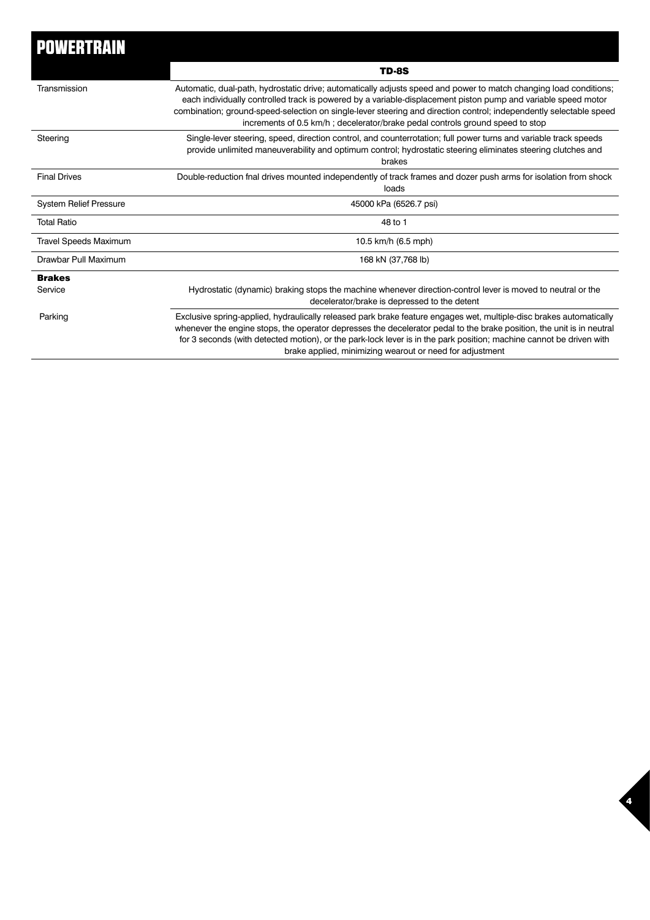| <b>POWERTRAIN</b>             |                                                                                                                                                                                                                                                                                                                                                                                                                                           |
|-------------------------------|-------------------------------------------------------------------------------------------------------------------------------------------------------------------------------------------------------------------------------------------------------------------------------------------------------------------------------------------------------------------------------------------------------------------------------------------|
|                               | <b>TD-8S</b>                                                                                                                                                                                                                                                                                                                                                                                                                              |
| Transmission                  | Automatic, dual-path, hydrostatic drive; automatically adjusts speed and power to match changing load conditions;<br>each individually controlled track is powered by a variable-displacement piston pump and variable speed motor<br>combination; ground-speed-selection on single-lever steering and direction control; independently selectable speed<br>increments of 0.5 km/h; decelerator/brake pedal controls ground speed to stop |
| Steering                      | Single-lever steering, speed, direction control, and counterrotation; full power turns and variable track speeds<br>provide unlimited maneuverability and optimum control; hydrostatic steering eliminates steering clutches and<br>brakes                                                                                                                                                                                                |
| <b>Final Drives</b>           | Double-reduction fnal drives mounted independently of track frames and dozer push arms for isolation from shock<br>loads                                                                                                                                                                                                                                                                                                                  |
| <b>System Relief Pressure</b> | 45000 kPa (6526.7 psi)                                                                                                                                                                                                                                                                                                                                                                                                                    |
| <b>Total Ratio</b>            | 48 to 1                                                                                                                                                                                                                                                                                                                                                                                                                                   |
| <b>Travel Speeds Maximum</b>  | 10.5 km/h (6.5 mph)                                                                                                                                                                                                                                                                                                                                                                                                                       |
| Drawbar Pull Maximum          | 168 kN (37,768 lb)                                                                                                                                                                                                                                                                                                                                                                                                                        |
| <b>Brakes</b>                 |                                                                                                                                                                                                                                                                                                                                                                                                                                           |
| Service                       | Hydrostatic (dynamic) braking stops the machine whenever direction-control lever is moved to neutral or the<br>decelerator/brake is depressed to the detent                                                                                                                                                                                                                                                                               |
| Parking                       | Exclusive spring-applied, hydraulically released park brake feature engages wet, multiple-disc brakes automatically<br>whenever the engine stops, the operator depresses the decelerator pedal to the brake position, the unit is in neutral<br>for 3 seconds (with detected motion), or the park-lock lever is in the park position; machine cannot be driven with<br>brake applied, minimizing wearout or need for adjustment           |

4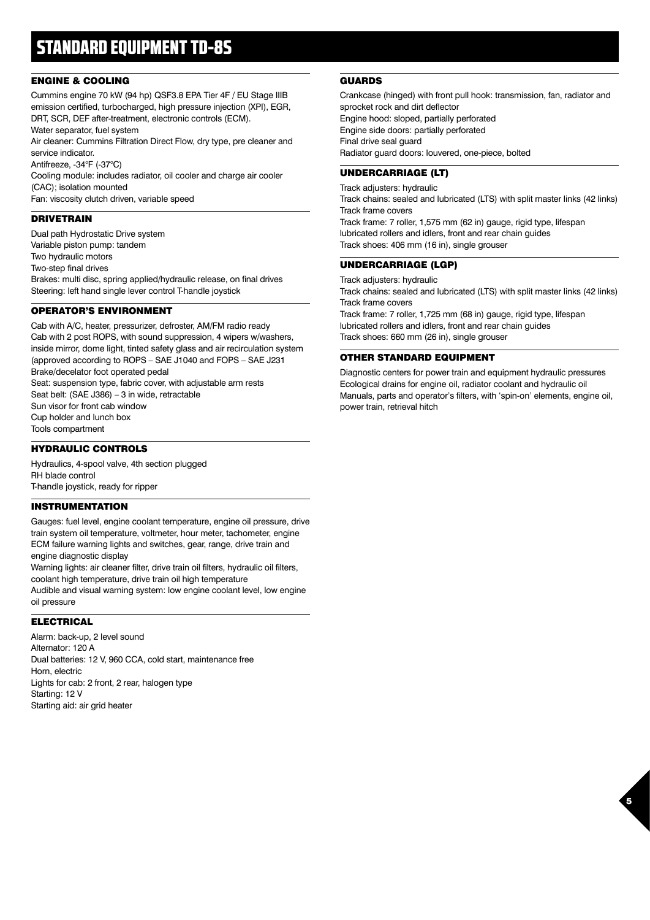# STANDARD EQUIPMENT TD-8S

# ENGINE & COOLING

Cummins engine 70 kW (94 hp) QSF3.8 EPA Tier 4F / EU Stage IIIB emission certified, turbocharged, high pressure injection (XPI), EGR, DRT, SCR, DEF after-treatment, electronic controls (ECM). Water separator, fuel system

Air cleaner: Cummins Filtration Direct Flow, dry type, pre cleaner and service indicator.

Antifreeze, -34°F (-37°C)

Cooling module: includes radiator, oil cooler and charge air cooler (CAC); isolation mounted

Fan: viscosity clutch driven, variable speed

# DRIVETRAIN

Dual path Hydrostatic Drive system Variable piston pump: tandem Two hydraulic motors Two-step final drives Brakes: multi disc, spring applied/hydraulic release, on final drives Steering: left hand single lever control T-handle joystick

# OPERATOR'S ENVIRONMENT

Cab with A/C, heater, pressurizer, defroster, AM/FM radio ready Cab with 2 post ROPS, with sound suppression, 4 wipers w/washers, inside mirror, dome light, tinted safety glass and air recirculation system (approved according to ROPS – SAE J1040 and FOPS – SAE J231 Brake/decelator foot operated pedal Seat: suspension type, fabric cover, with adjustable arm rests Seat belt: (SAE J386) – 3 in wide, retractable Sun visor for front cab window Cup holder and lunch box Tools compartment

# HYDRAULIC CONTROLS

Hydraulics, 4-spool valve, 4th section plugged RH blade control T-handle joystick, ready for ripper

# INSTRUMENTATION

Gauges: fuel level, engine coolant temperature, engine oil pressure, drive train system oil temperature, voltmeter, hour meter, tachometer, engine ECM failure warning lights and switches, gear, range, drive train and engine diagnostic display

Warning lights: air cleaner filter, drive train oil filters, hydraulic oil filters, coolant high temperature, drive train oil high temperature

Audible and visual warning system: low engine coolant level, low engine oil pressure

## ELECTRICAL

Alarm: back-up, 2 level sound Alternator: 120 A Dual batteries: 12 V, 960 CCA, cold start, maintenance free Horn, electric Lights for cab: 2 front, 2 rear, halogen type Starting: 12 V Starting aid: air grid heater

# GUARDS

Crankcase (hinged) with front pull hook: transmission, fan, radiator and sprocket rock and dirt deflector Engine hood: sloped, partially perforated Engine side doors: partially perforated Final drive seal guard Radiator guard doors: louvered, one-piece, bolted

# UNDERCARRIAGE (LT)

Track adjusters: hydraulic Track chains: sealed and lubricated (LTS) with split master links (42 links) Track frame covers Track frame: 7 roller, 1,575 mm (62 in) gauge, rigid type, lifespan lubricated rollers and idlers, front and rear chain guides Track shoes: 406 mm (16 in), single grouser

## UNDERCARRIAGE (LGP)

Track adjusters: hydraulic Track chains: sealed and lubricated (LTS) with split master links (42 links) Track frame covers Track frame: 7 roller, 1,725 mm (68 in) gauge, rigid type, lifespan

lubricated rollers and idlers, front and rear chain guides Track shoes: 660 mm (26 in), single grouser

# OTHER STANDARD EQUIPMENT

Diagnostic centers for power train and equipment hydraulic pressures Ecological drains for engine oil, radiator coolant and hydraulic oil Manuals, parts and operator's filters, with 'spin-on' elements, engine oil, power train, retrieval hitch

5